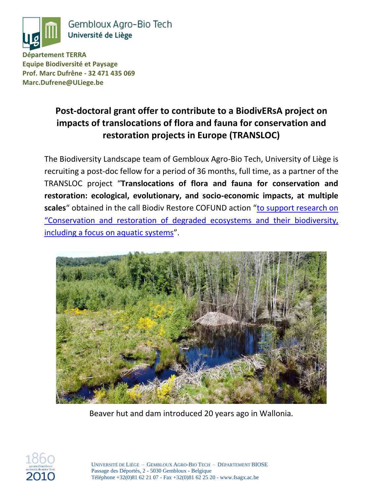

Gembloux Agro-Bio Tech Université de Liège

**Département TERRA Equipe Biodiversité et Paysage Prof. Marc Dufrêne - 32 471 435 069 Marc.Dufrene@ULiege.be**

# **Post-doctoral grant offer to contribute to a BiodivERsA project on impacts of translocations of flora and fauna for conservation and restoration projects in Europe (TRANSLOC)**

The Biodiversity Landscape team of Gembloux Agro-Bio Tech, University of Liège is recruiting a post-doc fellow for a period of 36 months, full time, as a partner of the TRANSLOC project "**Translocations of flora and fauna for conservation and restoration: ecological, evolutionary, and socio-economic impacts, at multiple scales**" obtained in the call Biodiv Restore COFUND action "[to support research on](https://www.biodiversa.org/1587)  ["Conservation and restoration of degraded ecosystems and their biodiversity,](https://www.biodiversa.org/1587)  [including a focus on aquatic systems](https://www.biodiversa.org/1587)".



Beaver hut and dam introduced 20 years ago in Wallonia.

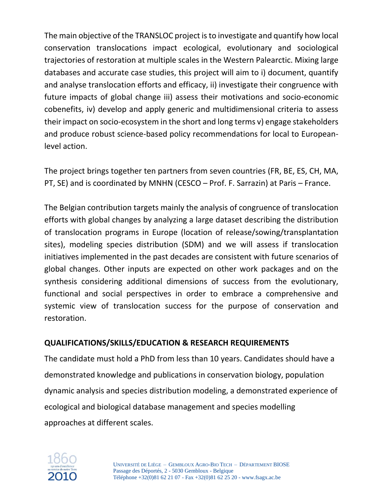The main objective of the TRANSLOC project is to investigate and quantify how local conservation translocations impact ecological, evolutionary and sociological trajectories of restoration at multiple scales in the Western Palearctic. Mixing large databases and accurate case studies, this project will aim to i) document, quantify and analyse translocation efforts and efficacy, ii) investigate their congruence with future impacts of global change iii) assess their motivations and socio-economic cobenefits, iv) develop and apply generic and multidimensional criteria to assess their impact on socio-ecosystem in the short and long terms v) engage stakeholders and produce robust science-based policy recommendations for local to Europeanlevel action.

The project brings together ten partners from seven countries (FR, BE, ES, CH, MA, PT, SE) and is coordinated by MNHN (CESCO – Prof. F. Sarrazin) at Paris – France.

The Belgian contribution targets mainly the analysis of congruence of translocation efforts with global changes by analyzing a large dataset describing the distribution of translocation programs in Europe (location of release/sowing/transplantation sites), modeling species distribution (SDM) and we will assess if translocation initiatives implemented in the past decades are consistent with future scenarios of global changes. Other inputs are expected on other work packages and on the synthesis considering additional dimensions of success from the evolutionary, functional and social perspectives in order to embrace a comprehensive and systemic view of translocation success for the purpose of conservation and restoration.

# **QUALIFICATIONS/SKILLS/EDUCATION & RESEARCH REQUIREMENTS**

The candidate must hold a PhD from less than 10 years. Candidates should have a demonstrated knowledge and publications in conservation biology, population dynamic analysis and species distribution modeling, a demonstrated experience of ecological and biological database management and species modelling approaches at different scales.